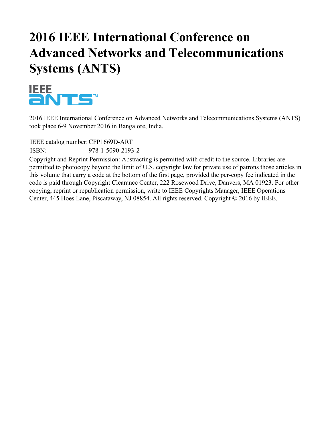# **2016 IEEE International Conference on Advanced Networks and Telecommunications Systems (ANTS)**



2016 IEEE International Conference on Advanced Networks and Telecommunications Systems (ANTS) took place 6-9 November 2016 in Bangalore, India.

IEEE catalog number:CFP1669D-ART

ISBN: 978-1-5090-2193-2

Copyright and Reprint Permission: Abstracting is permitted with credit to the source. Libraries are permitted to photocopy beyond the limit of U.S. copyright law for private use of patrons those articles in this volume that carry a code at the bottom of the first page, provided the per-copy fee indicated in the code is paid through Copyright Clearance Center, 222 Rosewood Drive, Danvers, MA 01923. For other copying, reprint or republication permission, write to IEEE Copyrights Manager, IEEE Operations Center, 445 Hoes Lane, Piscataway, NJ 08854. All rights reserved. Copyright © 2016 by IEEE.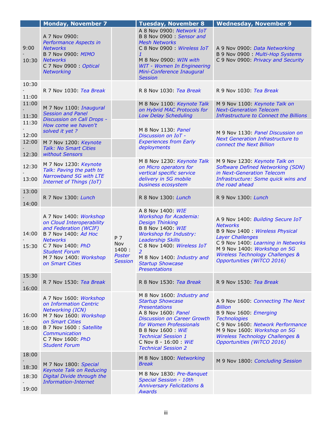|                         | <b>Monday, November 7</b>                                                                                                                                                                                                 |                                                 | <b>Tuesday, November 8</b>                                                                                                                                                                                                                                                         | <b>Wednesday, November 9</b>                                                                                                                                                                                                                                           |
|-------------------------|---------------------------------------------------------------------------------------------------------------------------------------------------------------------------------------------------------------------------|-------------------------------------------------|------------------------------------------------------------------------------------------------------------------------------------------------------------------------------------------------------------------------------------------------------------------------------------|------------------------------------------------------------------------------------------------------------------------------------------------------------------------------------------------------------------------------------------------------------------------|
| 9:00<br>10:30           | A 7 Nov 0900:<br>Performance Aspects in<br><b>Networks</b><br>B 7 Nov 0900: MIMO<br><b>Networks</b><br>C 7 Nov 0900 : Optical<br><b>Networking</b>                                                                        |                                                 | A 8 Nov 0900: Network IoT<br>B 8 Nov 0900 Sensor and<br><b>Mesh Networks</b><br>C 8 Nov 0900 : Wireless IoT<br>$\mathbf{1}$<br>M 8 Nov 0900: WIN with<br><b>WIT - Women In Engineering</b><br>Mini-Conference Inaugural<br><b>Session</b>                                          | A 9 Nov 0900: Data Networking<br>B 9 Nov 0900: Multi-Hop Systems<br>C 9 Nov 0900: Privacy and Security                                                                                                                                                                 |
| 10:30<br>11:00          | R 7 Nov 1030: Tea Break                                                                                                                                                                                                   |                                                 | R 8 Nov 1030: Tea Break                                                                                                                                                                                                                                                            | R 9 Nov 1030: Tea Break                                                                                                                                                                                                                                                |
| 11:00<br>11:30          | M 7 Nov 1100: Inaugural<br><b>Session and Panel</b><br>Discussion on Call Drops -                                                                                                                                         |                                                 | M 8 Nov 1100: Keynote Talk<br>on Hybrid MAC Protocols for<br><b>Low Delay Scheduling</b>                                                                                                                                                                                           | M 9 Nov 1100: Keynote Talk on<br><b>Next-Generation Telecom</b><br><b>Infrastructure to Connect the Billions</b>                                                                                                                                                       |
| 11:30<br>12:00<br>12:00 | How come we haven't<br>solved it yet?<br>M 7 Nov 1200: Keynote                                                                                                                                                            |                                                 | M 8 Nov 1130: Panel<br>Discussion on IoT -<br><b>Experiences from Early</b>                                                                                                                                                                                                        | M 9 Nov 1130: Panel Discussion on<br><b>Next Generation Infrastructure to</b>                                                                                                                                                                                          |
| 12:30                   | <b>Talk: No Smart Cities</b><br>without Sensors                                                                                                                                                                           |                                                 | deployments                                                                                                                                                                                                                                                                        | connect the Next Billion                                                                                                                                                                                                                                               |
| 12:30<br>13:00          | M 7 Nov 1230: Keynote<br>Talk: Paving the path to<br>Narrowband 5G with LTE<br><b>Internet of Things (IoT)</b>                                                                                                            |                                                 | M 8 Nov 1230: Keynote Talk<br>on Micro operators for<br>vertical specific service<br>delivery in 5G mobile<br>business ecosystem                                                                                                                                                   | M 9 Nov 1230: Keynote Talk on<br><b>Software Defined Networking (SDN)</b><br>in Next-Generation Telecom<br>Infrastructure: Some quick wins and<br>the road ahead                                                                                                       |
| 13:00<br>14:00          | R 7 Nov 1300: Lunch                                                                                                                                                                                                       |                                                 | R 8 Nov 1300: Lunch                                                                                                                                                                                                                                                                | R 9 Nov 1300: Lunch                                                                                                                                                                                                                                                    |
| 14:00<br>15:30          | A 7 Nov 1400: Workshop<br>on Cloud Interoperability<br>and Federation (WCIF)<br>B 7 Nov 1400: Ad Hoc<br><b>Networks</b><br>C 7 Nov 1400: PhD<br><b>Student Forum</b><br>M 7 Nov 1400: Workshop<br>on Smart Cities         | P 7<br>Nov<br>1400:<br>Poster<br><b>Session</b> | A 8 Nov 1400: WIE<br><b>Workshop for Academia:</b><br><b>Design Thinking</b><br>B 8 Nov 1400: WIE<br><b>Workshop for Industry:</b><br><b>Leadership Skills</b><br>C 8 Nov 1400: Wireless IoT<br>2<br>M 8 Nov 1400: Industry and<br><b>Startup Showcase</b><br><b>Presentations</b> | A 9 Nov 1400: Building Secure IoT<br><b>Networks</b><br>B 9 Nov 1400 : Wireless Physical<br><b>Layer Challenges</b><br>C 9 Nov 1400: Learning in Networks<br>M 9 Nov 1400: Workshop on 5G<br><b>Wireless Technology Challenges &amp;</b><br>Opportunities (WiTCO 2016) |
| 15:30<br>16:00          | R 7 Nov 1530: Tea Break                                                                                                                                                                                                   |                                                 | R 8 Nov 1530: Tea Break                                                                                                                                                                                                                                                            | R 9 Nov 1530: Tea Break                                                                                                                                                                                                                                                |
| 16:00<br>18:00          | A 7 Nov 1600: Workshop<br>on Information Centric<br><b>Networking (ICN)</b><br>M 7 Nov 1600: Workshop<br>on Smart Cities<br><b>B 7 Nov 1600 : Satellite</b><br>Communication<br>C 7 Nov 1600: PhD<br><b>Student Forum</b> |                                                 | M 8 Nov 1600: Industry and<br><b>Startup Showcase</b><br><b>Presentations</b><br>A 8 Nov 1600: Panel<br><b>Discussion on Career Growth</b><br>for Women Professionals<br>B 8 Nov 1600 : WiE<br><b>Technical Session 1</b><br>C Nov 8 - 16:00 WiE<br><b>Technical Session 2</b>     | A 9 Nov 1600: Connecting The Next<br><b>Billion</b><br>B 9 Nov 1600: Emerging<br><b>Technologies</b><br>C 9 Nov 1600: Network Performance<br>M 9 Nov 1600: Workshop on 5G<br><b>Wireless Technology Challenges &amp;</b><br>Opportunities (WiTCO 2016)                 |
| 18:00<br>18:30          | M 7 Nov 1800: Special                                                                                                                                                                                                     |                                                 | M 8 Nov 1800: Networking<br><b>Break</b>                                                                                                                                                                                                                                           | M 9 Nov 1800: Concluding Session                                                                                                                                                                                                                                       |
| 18:30<br>19:00          | <b>Keynote Talk on Reducing</b><br>Digital Divide through the<br><b>Information-Internet</b>                                                                                                                              |                                                 | M 8 Nov 1830: Pre-Banquet<br><b>Special Session - 10th</b><br><b>Anniversary Felicitations &amp;</b><br><b>Awards</b>                                                                                                                                                              |                                                                                                                                                                                                                                                                        |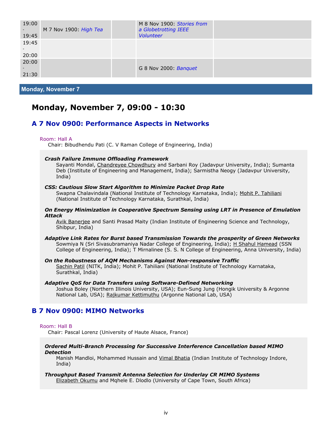| M 7 Nov 1900. High Tea | M 8 Nov 1900: Stories from<br>a Globetrotting IEEE<br><b>Volunteer</b> |                       |
|------------------------|------------------------------------------------------------------------|-----------------------|
|                        |                                                                        |                       |
|                        |                                                                        |                       |
|                        |                                                                        |                       |
|                        |                                                                        |                       |
|                        |                                                                        | G 8 Nov 2000: Banquet |

**Monday, November 7**

# **Monday, November 7, 09:00 - 10:30**

### **A 7 Nov 0900: Performance Aspects in Networks**

#### Room: Hall A

Chair: Bibudhendu Pati (C. V Raman College of Engineering, India)

#### *Crash Failure Immune Offloading Framework*

Sayanti Mondal, Chandreyee Chowdhury and Sarbani Roy (Jadavpur University, India); Sumanta Deb (Institute of Engineering and Management, India); Sarmistha Neogy (Jadavpur University, India)

#### *CSS: Cautious Slow Start Algorithm to Minimize Packet Drop Rate*

Swapna Chalavindala (National Institute of Technology Karnataka, India); Mohit P. Tahiliani (National Institute of Technology Karnataka, Surathkal, India)

#### *On Energy Minimization in Cooperative Spectrum Sensing using LRT in Presence of Emulation Attack*

Avik Banerjee and Santi Prasad Maity (Indian Institute of Engineering Science and Technology, Shibpur, India)

#### *Adaptive Link Rates for Burst based Transmission Towards the prosperity of Green Networks* Sowmiya N (Sri Sivasubramaniya Nadar College of Engineering, India); H Shahul Hamead (SSN College of Engineering, India); T Mirnalinee (S. S. N College of Engineering, Anna University, India)

#### *On the Robustness of AQM Mechanisms Against Non-responsive Traffic*

Sachin Patil (NITK, India); Mohit P. Tahiliani (National Institute of Technology Karnataka, Surathkal, India)

*Adaptive QoS for Data Transfers using Software-Defined Networking* Joshua Boley (Northern Illinois University, USA); Eun-Sung Jung (Hongik University & Argonne National Lab, USA); Rajkumar Kettimuthu (Argonne National Lab, USA)

### **B 7 Nov 0900: MIMO Networks**

#### Room: Hall B

Chair: Pascal Lorenz (University of Haute Alsace, France)

#### *Ordered Multi-Branch Processing for Successive Interference Cancellation based MIMO Detection*

Manish Mandloi, Mohammed Hussain and Vimal Bhatia (Indian Institute of Technology Indore, India)

*Throughput Based Transmit Antenna Selection for Underlay CR MIMO Systems* Elizabeth Okumu and Mqhele E. Dlodlo (University of Cape Town, South Africa)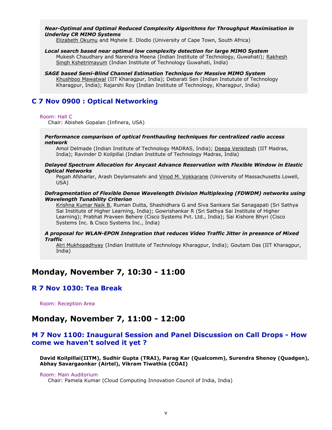#### *Near-Optimal and Optimal Reduced Complexity Algorithms for Throughput Maximisation in Underlay CR MIMO Systems*

Elizabeth Okumu and Mqhele E. Dlodlo (University of Cape Town, South Africa)

#### *Local search based near optimal low complexity detection for large MIMO System*

Mukesh Chaudhary and Narendra Meena (Indian Institute of Technology, Guwahati); Rakhesh Singh Kshetrimayum (Indian Institute of Technology Guwahati, India)

#### *SAGE based Semi-Blind Channel Estimation Technique for Massive MIMO System*

Khushboo Mawatwal (IIT Kharagpur, India); Debarati Sen (Indian Instutute of Technology Kharagpur, India); Rajarshi Roy (Indian Institute of Technology, Kharagpur, India)

### **C 7 Nov 0900 : Optical Networking**

#### Room: Hall C

Chair: Abishek Gopalan (Infinera, USA)

#### *Performance comparison of optical fronthauling techniques for centralized radio access network*

Amol Delmade (Indian Institute of Technology MADRAS, India); Deepa Venkitesh (IIT Madras, India); Ravinder D Koilpillai (Indian Institute of Technology Madras, India)

#### *Delayed Spectrum Allocation for Anycast Advance Reservation with Flexible Window in Elastic Optical Networks*

Pegah Afsharlar, Arash Deylamsalehi and Vinod M. Vokkarane (University of Massachusetts Lowell, USA)

#### *Defragmentation of Flexible Dense Wavelength Division Multiplexing (FDWDM) networks using Wavelength Tunability Criterion*

Krishna Kumar Naik B, Ruman Dutta, Shashidhara G and Siva Sankara Sai Sanagapati (Sri Sathya Sai Institute of Higher Learning, India); Gowrishankar R (Sri Sathya Sai Institute of Higher Learning); Prabhat Praveen Behere (Cisco Systems Pvt. Ltd., India); Sai Kishore Bhyri (Cisco Systems Inc. & Cisco Systems Inc., India)

#### *A proposal for WLAN-EPON Integration that reduces Video Traffic Jitter in presence of Mixed Traffic*

Atri Mukhopadhyay (Indian Institute of Technology Kharagpur, India); Goutam Das (IIT Kharagpur, India)

# **Monday, November 7, 10:30 - 11:00**

### **R 7 Nov 1030: Tea Break**

Room: Reception Area

### **Monday, November 7, 11:00 - 12:00**

### **M 7 Nov 1100: Inaugural Session and Panel Discussion on Call Drops - How come we haven't solved it yet ?**

**David Koilpillai(IITM), Sudhir Gupta (TRAI), Parag Kar (Qualcomm), Surendra Shenoy (Quadgen), Abhay Savargaonkar (Airtel), Vikram Tiwathia (COAI)**

#### Room: Main Auditorium

Chair: Pamela Kumar (Cloud Computing Innovation Council of India, India)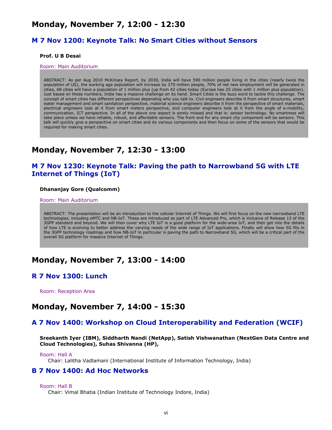# **Monday, November 7, 12:00 - 12:30**

### **M 7 Nov 1200: Keynote Talk: No Smart Cities without Sensors**

#### **Prof. U B Desai**

#### Room: Main Auditorium

ABSTRACT: As per Aug 2010 McKinsey Report, by 2030, India will have 590 million people living in the cities (nearly twice the population of US), the working age population will increase by 270 million people, 70% of net new employment will be generated in cities, 68 cities will have a population of 1 million plus (up from 42 cities today (Europe has 25 cities with 1 million plus population). Just based on these numbers, India has a massive challenge on its hand. Smart Cities is the buzz word to tackle this challenge. The concept of smart cities has different perspectives depending who you talk to. Civil engineers describe it from smart structures, smart water management and smart sanitation perspective, material science engineers describe it from the perspective of smart materials, electrical engineers look at it from smart meters perspective, and computer engineers look at it from the angle of e-mobility, communication, ICT perspective. In all of the above one aspect is sorely missed and that is: sensor technology. No smartness will take place unless we have reliable, robust, and affordable sensors. The front end for any smart city component will be sensors. This talk will quickly give a perspective on smart cities and its various components and then focus on some of the sensors that would be required for making smart cities.

# **Monday, November 7, 12:30 - 13:00**

### **M 7 Nov 1230: Keynote Talk: Paving the path to Narrowband 5G with LTE Internet of Things (IoT)**

#### **Dhananjay Gore (Qualcomm)**

Room: Main Auditorium

ABSTRACT: The presentation will be an introduction to the cellular Internet of Things. We will first focus on the new narrowband LTE technologies, including eMTC and NB-IoT. These are introduced as part of LTE Advanced Pro, which is inclusive of Release 13 of the 3GPP standard and beyond. We will then cover why LTE IoT is a good platform for the wide-area IoT, and then get into the details of how LTE is evolving to better address the varying needs of the wide range of IoT applications. Finally will show how 5G fits in the 3GPP technology roadmap and how NB-IoT in particular is paving the path to Narrowband 5G, which will be a critical part of the overall 5G platform for massive Internet of Things.

### **Monday, November 7, 13:00 - 14:00**

### **R 7 Nov 1300: Lunch**

Room: Reception Area

### **Monday, November 7, 14:00 - 15:30**

### **A 7 Nov 1400: Workshop on Cloud Interoperability and Federation (WCIF)**

**Sreekanth Iyer (IBM), Siddharth Nandi (NetApp), Satish Vishwanathan (NextGen Data Centre and Cloud Technologies), Suhas Shivanna (HP),**

Chair: Lalitha Vadlamani (International Institute of Information Technology, India)

### **B 7 Nov 1400: Ad Hoc Networks**

#### Room: Hall B

Chair: Vimal Bhatia (Indian Institute of Technology Indore, India)

Room: Hall A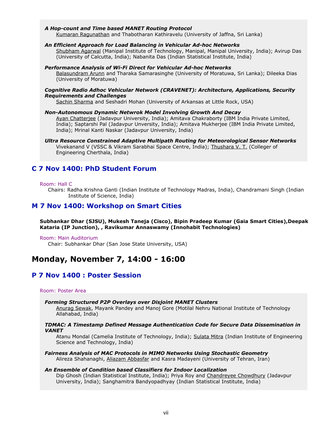#### *A Hop-count and Time based MANET Routing Protocol*

Kumaran Ragunathan and Thabotharan Kathiravelu (University of Jaffna, Sri Lanka)

#### *An Efficient Approach for Load Balancing in Vehicular Ad-hoc Networks*

Shubham Agarwal (Manipal Institute of Technology, Manipal, Manipal University, India); Avirup Das (University of Calcutta, India); Nabanita Das (Indian Statistical Institute, India)

#### *Performance Analysis of Wi-Fi Direct for Vehicular Ad-hoc Networks*

Balasundram Arunn and Tharaka Samarasinghe (University of Moratuwa, Sri Lanka); Dileeka Dias (University of Moratuwa)

#### *Cognitive Radio Adhoc Vehicular Network (CRAVENET): Architecture, Applications, Security Requirements and Challenges*

Sachin Sharma and Seshadri Mohan (University of Arkansas at Little Rock, USA)

#### *Non-Autonomous Dynamic Netwrok Model Involving Growth And Decay*

Ayan Chatterjee (Jadavpur University, India); Amitava Chakraborty (IBM India Private Limited, India); Saptarshi Pal (Jadavpur Unversity, India); Amitava Mukherjee (IBM India Private Limited, India); Mrinal Kanti Naskar (Jadavpur University, India)

#### *Ultra Resource Constrained Adaptive Multipath Routing for Meteorological Sensor Networks*

Vivekanand V (VSSC & Vikram Sarabhai Space Centre, India); Thushara V. T. (Colleger of Engineering Cherthala, India)

### **C 7 Nov 1400: PhD Student Forum**

#### Room: Hall C

Chairs: Radha Krishna Ganti (Indian Institute of Technology Madras, India), Chandramani Singh (Indian Institute of Science, India)

### **M 7 Nov 1400: Workshop on Smart Cities**

**Subhankar Dhar (SJSU), Mukesh Taneja (Cisco), Bipin Pradeep Kumar (Gaia Smart Cities),Deepak Kataria (IP Junction), , Ravikumar Annaswamy (Innohabit Technologies)**

#### Room: Main Auditorium

Chair: Subhankar Dhar (San Jose State University, USA)

# **Monday, November 7, 14:00 - 16:00**

### **P 7 Nov 1400 : Poster Session**

#### Room: Poster Area

#### *Forming Structured P2P Overlays over Disjoint MANET Clusters*

Anurag Sewak, Mayank Pandey and Manoj Gore (Motilal Nehru National Institute of Technology Allahabad, India)

#### *TDMAC: A Timestamp Defined Message Authentication Code for Secure Data Dissemination in VANET*

Atanu Mondal (Camelia Institute of Technology, India); Sulata Mitra (Indian Institute of Engineering Science and Technology, India)

*Fairness Analysis of MAC Protocols in MIMO Networks Using Stochastic Geometry* Alireza Shahanaghi, Aliazam Abbasfar and Kasra Madayeni (University of Tehran, Iran)

#### *An Ensemble of Condition based Classifiers for Indoor Localization*

Dip Ghosh (Indian Statistical Institute, India); Priya Roy and Chandreyee Chowdhury (Jadavpur University, India); Sanghamitra Bandyopadhyay (Indian Statistical Institute, India)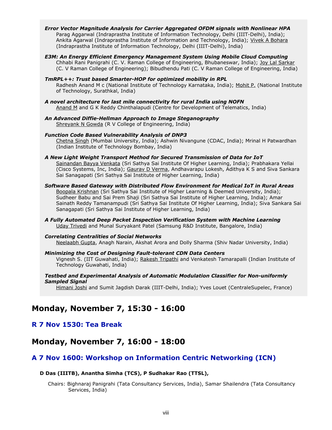- *Error Vector Magnitude Analysis for Carrier Aggregated OFDM signals with Nonlinear HPA* Parag Aggarwal (Indraprastha Institute of Information Technology, Delhi (IIIT-Delhi), India); Ankita Agarwal (Indraprastha Institute of Information and Technology, India); Vivek A Bohara (Indraprastha Institute of Information Technology, Delhi (IIIT-Delhi), India)
- *E3M: An Energy Efficient Emergency Management System Using Mobile Cloud Computing* Chhabi Rani Panigrahi (C. V. Raman College of Engineering, Bhubaneswar, India); Joy Lal Sarkar (C. V Raman College of Engineering); Bibudhendu Pati (C. V Raman College of Engineering, India)
- *TmRPL++: Trust based Smarter-HOP for optimized mobility in RPL* Radhesh Anand M c (National Institute of Technology Karnataka, India); Mohit P. (National Institute of Technology, Surathkal, India)
- *A novel architecture for last mile connectivity for rural India using NOFN* Anand M and G K Reddy Chinthalapudi (Centre for Development of Telematics, India)
- *An Advanced Diffie-Hellman Approach to Image Steganography* Shreyank N Gowda (R V College of Engineering, India)
- *Function Code Based Vulnerability Analysis of DNP3* Chetna Singh (Mumbai University, India); Ashwin Nivangune (CDAC, India); Mrinal H Patwardhan (Indian Institute of Technology Bombay, India)
- *A New Light Weight Transport Method for Secured Transmission of Data for IoT* Sainandan Bayya Venkata (Sri Sathya Sai Institute Of Higher Learning, India); Prabhakara Yellai (Cisco Systems, Inc, India); Gaurav D Verma, Andhavarapu Lokesh, Adithya K S and Siva Sankara Sai Sanagapati (Sri Sathya Sai Institute of Higher Learning, India)
- *Software Based Gateway with Distributed Flow Environment for Medical IoT in Rural Areas* Boopala Krishnan (Sri Sathya Sai Institute of Higher Learning & Deemed University, India); Sudheer Babu and Sai Prem Shaji (Sri Sathya Sai Institute of Higher Learning, India); Amar Sainath Reddy Tamanampudi (Sri Sathya Sai Institute Of Higher Learning, India); Siva Sankara Sai Sanagapati (Sri Sathya Sai Institute of Higher Learning, India)
- *A Fully Automated Deep Packet Inspection Verification System with Machine Learning* Uday Trivedi and Munal Suryakant Patel (Samsung R&D Institute, Bangalore, India)

#### *Correlating Centralities of Social Networks* Neelaabh Gupta, Anagh Narain, Akshat Arora and Dolly Sharma (Shiv Nadar University, India)

#### *Minimizing the Cost of Designing Fault-tolerant CDN Data Centers*

Vignesh S. (IIT Guwahati, India); Rakesh Tripathi and Venkatesh Tamarapalli (Indian Institute of Technology Guwahati, India)

#### *Testbed and Experimental Analysis of Automatic Modulation Classifier for Non-uniformly Sampled Signal*

Himani Joshi and Sumit Jagdish Darak (IIIT-Delhi, India); Yves Louet (CentraleSupelec, France)

# **Monday, November 7, 15:30 - 16:00**

### **R 7 Nov 1530: Tea Break**

# **Monday, November 7, 16:00 - 18:00**

# **A 7 Nov 1600: Workshop on Information Centric Networking (ICN)**

### **D Das (IIITB), Anantha Simha (TCS), P Sudhakar Rao (TTSL),**

Chairs: Bighnaraj Panigrahi (Tata Consultancy Services, India), Samar Shailendra (Tata Consultancy Services, India)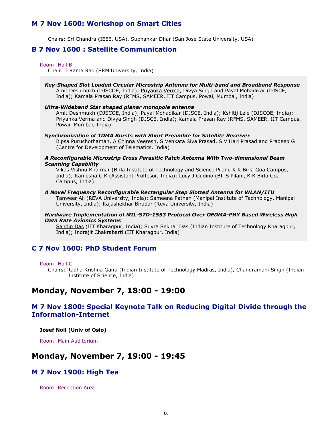### **M 7 Nov 1600: Workshop on Smart Cities**

Chairs: Sri Chandra (IEEE, USA), Subhankar Dhar (San Jose State University, USA)

### **B 7 Nov 1600 : Satellite Communication**

#### Room: Hall B

Chair: T Rama Rao (SRM University, India)

*Key-Shaped Slot Loaded Circular Microstrip Antenna for Multi-band and Broadband Response* Amit Deshmukh (DJSCOE, India); Priyanka Verma, Divya Singh and Payal Mohadikar (DJSCE, India); Kamala Prasan Ray (RFMS, SAMEER, IIT Campus, Powai, Mumbai, India)

#### *Ultra-Wideband Star shaped planar monopole antenna*

Amit Deshmukh (DJSCOE, India); Payal Mohadikar (DJSCE, India); Kshitij Lele (DJSCOE, India); Priyanka Verma and Divya Singh (DJSCE, India); Kamala Prasan Ray (RFMS, SAMEER, IIT Campus, Powai, Mumbai, India)

#### *Synchronization of TDMA Bursts with Short Preamble for Satellite Receiver*

Bipsa Purushothaman, A Chinna Veeresh, S Venkata Siva Prasad, S V Hari Prasad and Pradeep G (Centre for Development of Telematics, India)

#### *A Reconfigurable Microstrip Cross Parasitic Patch Antenna With Two-dimensional Beam Scanning Capability*

Vikas Vishnu Khairnar (Birla Institute of Technology and Science Pilani, K K Birla Goa Campus, India); Ramesha C K (Assistant Proffesor, India); Lucy J Gudino (BITS Pilani, K K Birla Goa Campus, India)

#### *A Novel Frequency Reconfigurable Rectangular Step Slotted Antenna for WLAN/ITU*

Tanweer Ali (REVA University, India); Sameena Pathan (Manipal Institute of Technology, Manipal University, India); Rajashekhar Biradar (Reva University, India)

#### *Hardware Implementation of MIL-STD-1553 Protocol Over OFDMA-PHY Based Wireless High Data Rate Avionics Systems*

Sandip Das (IIT Kharagpur, India); Suvra Sekhar Das (Indian Institute of Technology Kharagpur, India); Indrajit Chakrabarti (IIT Kharagpur, India)

### **C 7 Nov 1600: PhD Student Forum**

#### Room: Hall C

Chairs: Radha Krishna Ganti (Indian Institute of Technology Madras, India), Chandramani Singh (Indian Institute of Science, India)

# **Monday, November 7, 18:00 - 19:00**

### **M 7 Nov 1800: Special Keynote Talk on Reducing Digital Divide through the Information-Internet**

**Josef Noll (Univ of Oslo)**

Room: Main Auditorium

### **Monday, November 7, 19:00 - 19:45**

### **M 7 Nov 1900: High Tea**

Room: Reception Area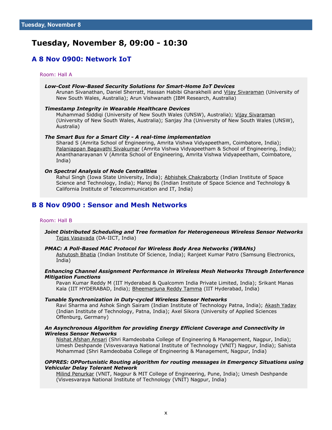# **Tuesday, November 8, 09:00 - 10:30**

### **A 8 Nov 0900: Network IoT**

#### Room: Hall A

#### *Low-Cost Flow-Based Security Solutions for Smart-Home IoT Devices*

Arunan Sivanathan, Daniel Sherratt, Hassan Habibi Gharakheili and Vijay Sivaraman (University of New South Wales, Australia); Arun Vishwanath (IBM Research, Australia)

#### *Timestamp Integrity in Wearable Healthcare Devices*

Muhammad Siddiqi (University of New South Wales (UNSW), Australia); Vijay Sivaraman (University of New South Wales, Australia); Sanjay Jha (University of New South Wales (UNSW), Australia)

#### *The Smart Bus for a Smart City - A real-time implementation*

Sharad S (Amrita School of Engineering, Amrita Vishwa Vidyapeetham, Coimbatore, India); Palaniappan Bagavathi Sivakumar (Amrita Vishwa Vidyapeetham & School of Engineering, India); Ananthanarayanan V (Amrita School of Engineering, Amrita Vishwa Vidyapeetham, Coimbatore, India)

#### *On Spectral Analysis of Node Centralities*

Rahul Singh (Iowa State University, India); Abhishek Chakraborty (Indian Institute of Space Science and Technology, India); Manoj Bs (Indian Institute of Space Science and Technology & California Institute of Telecommunication and IT, India)

### **B 8 Nov 0900 : Sensor and Mesh Networks**

#### Room: Hall B

#### *Joint Distributed Scheduling and Tree formation for Heterogeneous Wireless Sensor Networks* Tejas Vasavada (DA-IICT, India)

#### *PMAC: A Poll-Based MAC Protocol for Wireless Body Area Networks (WBANs)*

Ashutosh Bhatia (Indian Institute Of Science, India); Ranjeet Kumar Patro (Samsung Electronics, India)

#### *Enhancing Channel Assignment Performance in Wireless Mesh Networks Through Interference Mitigation Functions*

Pavan Kumar Reddy M (IIT Hyderabad & Qualcomm India Private Limited, India); Srikant Manas Kala (IIT HYDERABAD, India); Bheemarjuna Reddy Tamma (IIT Hyderabad, India)

#### *Tunable Synchronization in Duty-cycled Wireless Sensor Networks*

Ravi Sharma and Ashok Singh Sairam (Indian Institute of Technology Patna, India); Akash Yadav (Indian Institute of Technology, Patna, India); Axel Sikora (University of Applied Sciences Offenburg, Germany)

#### *An Asynchronous Algorithm for providing Energy Efficient Coverage and Connectivity in Wireless Sensor Networks*

Nishat Afshan Ansari (Shri Ramdeobaba College of Engineering & Management, Nagpur, India); Umesh Deshpande (Visvesvaraya National Institute of Technology (VNIT) Nagpur, India); Sahista Mohammad (Shri Ramdeobaba College of Engineering & Management, Nagpur, India)

#### *OPPRES: OPPortunistic Routing algorithm for routing messages in Emergency Situations using Vehicular Delay Tolerant Network*

Milind Penurkar (VNIT, Nagpur & MIT College of Engineering, Pune, India); Umesh Deshpande (Visvesvaraya National Institute of Technology (VNIT) Nagpur, India)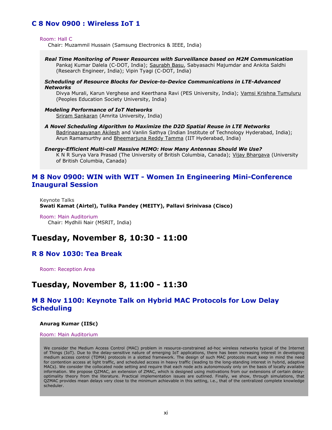### **C 8 Nov 0900 : Wireless IoT 1**

Room: Hall C

Chair: Muzammil Hussain (Samsung Electronics & IEEE, India)

*Real Time Monitoring of Power Resources with Surveillance based on M2M Communication* Pankaj Kumar Dalela (C-DOT, India); Saurabh Basu, Sabyasachi Majumdar and Ankita Saldhi (Research Engineer, India); Vipin Tyagi (C-DOT, India)

#### *Scheduling of Resource Blocks for Device-to-Device Communications in LTE-Advanced Networks*

Divya Murali, Karun Verghese and Keerthana Ravi (PES University, India); Vamsi Krishna Tumuluru (Peoples Education Society University, India)

#### *Modeling Performance of IoT Networks*

Sriram Sankaran (Amrita University, India)

- *A Novel Scheduling Algorithm to Maximize the D2D Spatial Reuse in LTE Networks* Badrinaaraayanan Akilesh and Vanlin Sathya (Indian Institute of Technology Hyderabad, India); Arun Ramamurthy and Bheemarjuna Reddy Tamma (IIT Hyderabad, India)
- *Energy-Efficient Multi-cell Massive MIMO: How Many Antennas Should We Use?* K N R Surya Vara Prasad (The University of British Columbia, Canada); <u>Vijay Bhargava</u> (University of British Columbia, Canada)

### **M 8 Nov 0900: WIN with WIT - Women In Engineering Mini-Conference Inaugural Session**

Keynote Talks **Swati Kamat (Airtel), Tulika Pandey (MEITY), Pallavi Srinivasa (Cisco)**

Room: Main Auditorium Chair: Mydhili Nair (MSRIT, India)

# **Tuesday, November 8, 10:30 - 11:00**

### **R 8 Nov 1030: Tea Break**

Room: Reception Area

# **Tuesday, November 8, 11:00 - 11:30**

### **M 8 Nov 1100: Keynote Talk on Hybrid MAC Protocols for Low Delay Scheduling**

#### **Anurag Kumar (IISc)**

#### Room: Main Auditorium

We consider the Medium Access Control (MAC) problem in resource-constrained ad-hoc wireless networks typical of the Internet of Things (IoT). Due to the delay-sensitive nature of emerging IoT applications, there has been increasing interest in developing medium access control (TDMA) protocols in a slotted framework. The design of such MAC protocols must keep in mind the need for contention access at light traffic, and scheduled access in heavy traffic (leading to the long-standing interest in hybrid, adaptive MACs). We consider the collocated node setting and require that each node acts autonomously only on the basis of locally available information. We propose QZMAC, an extension of ZMAC, which is designed using motivations from our extensions of certain delayoptimality theory from the literature. Practical implementation issues are outlined. Finally, we show, through simulations, that QZMAC provides mean delays very close to the minimum achievable in this setting, i.e., that of the centralized complete knowledge scheduler.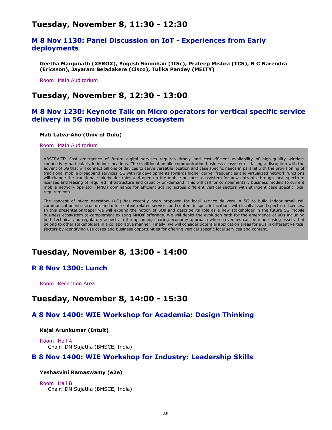# **Tuesday, November 8, 11:30 - 12:30**

### **M 8 Nov 1130: Panel Discussion on IoT - Experiences from Early deployments**

**Geetha Manjunath (XEROX), Yogesh Simmhan (IISc), Prateep Mishra (TCS), N C Narendra (Ericsson), Jayaram Beladakere (Cisco), Tulika Pandey (MEITY)**

Room: Main Auditorium

### **Tuesday, November 8, 12:30 - 13:00**

### **M 8 Nov 1230: Keynote Talk on Micro operators for vertical specific service delivery in 5G mobile business ecosystem**

#### **Mati Latva-Aho (Univ of Oulu)**

#### Room: Main Auditorium

ABSTRACT: Fast emergence of future digital services requires timely and cost-efficient availability of high-quality wireless connectivity particularly in indoor locations. The traditional mobile communication business ecosystem is facing a disruption with the advent of 5G that will connect billions of devices to serve versatile location and case specific needs in parallel with the provisioning of traditional mobile broadband services. 5G with its developments towards higher carrier frequencies and virtualized network functions will change the traditional stakeholder roles and open up the mobile business ecosystem for new entrants through local spectrum licenses and leasing of required infrastructure and capacity on-demand. This will call for complementary business models to current mobile network operator (MNO) dominance for efficient scaling across different vertical sectors with stringent case specific local requirements.

The concept of micro operators (uO) has recently been proposed for local service delivery in 5G to build indoor small cell communication infrastructure and offer context related services and content in specific locations with locally issued spectrum licenses. In this presentation/paper we will expand the notion of uOs and describe its role as a new stakeholder in the future 5G mobile business ecosystem to complement existing MNOs' offerings. We will depict the evolution path for the emergence of uOs including both technical and regulatory aspects in the upcoming sharing economy approach where revenues can be made using assets that belong to other stakeholders in a collaborative manner. Finally, we will consider potential application areas for uOs in different vertical sectors by identifying use cases and business opportunities for offering vertical specific local services and content.

# **Tuesday, November 8, 13:00 - 14:00**

### **R 8 Nov 1300: Lunch**

Room: Reception Area

### **Tuesday, November 8, 14:00 - 15:30**

### **A 8 Nov 1400: WIE Workshop for Academia: Design Thinking**

#### **Kajal Arunkumar (Intuit)**

Room: Hall A Chair: DN Sujatha (BMSCE, India)

### **B 8 Nov 1400: WIE Workshop for Industry: Leadership Skills**

#### **Yeshasvini Ramaswamy (e2e)**

Room: Hall B Chair: DN Sujatha (BMSCE, India)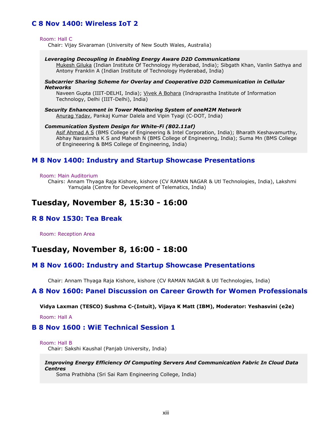### **C 8 Nov 1400: Wireless IoT 2**

#### Room: Hall C

Chair: Vijay Sivaraman (University of New South Wales, Australia)

#### *Leveraging Decoupling in Enabling Energy Aware D2D Communications*

Mukesh Giluka (Indian Institute Of Technology Hyderabad, India); Sibgath Khan, Vanlin Sathya and Antony Franklin A (Indian Institute of Technology Hyderabad, India)

#### *Subcarrier Sharing Scheme for Overlay and Cooperative D2D Communication in Cellular Networks*

Naveen Gupta (IIIT-DELHI, India); Vivek A Bohara (Indraprastha Institute of Information Technology, Delhi (IIIT-Delhi), India)

*Security Enhancement in Tower Monitoring System of oneM2M Network* Anurag Yadav, Pankaj Kumar Dalela and Vipin Tyagi (C-DOT, India)

#### *Communication System Design for White-Fi (802.11af)*

Asif Ahmad A S (BMS College of Engineering & Intel Corporation, India); Bharath Keshavamurthy, Abhay Narasimha K S and Mahesh N (BMS College of Engineering, India); Suma Mn (BMS College of Engineeering & BMS College of Engineering, India)

### **M 8 Nov 1400: Industry and Startup Showcase Presentations**

#### Room: Main Auditorium

Chairs: Annam Thyaga Raja Kishore, kishore (CV RAMAN NAGAR & Utl Technologies, India), Lakshmi Yamujala (Centre for Development of Telematics, India)

### **Tuesday, November 8, 15:30 - 16:00**

### **R 8 Nov 1530: Tea Break**

Room: Reception Area

# **Tuesday, November 8, 16:00 - 18:00**

#### **M 8 Nov 1600: Industry and Startup Showcase Presentations**

Chair: Annam Thyaga Raja Kishore, kishore (CV RAMAN NAGAR & Utl Technologies, India)

### **A 8 Nov 1600: Panel Discussion on Career Growth for Women Professionals**

**Vidya Laxman (TESCO) Sushma C-(Intuit), Vijaya K Matt (IBM), Moderator: Yeshasvini (e2e)**

Room: Hall A

### **B 8 Nov 1600 : WiE Technical Session 1**

Room: Hall B

Chair: Sakshi Kaushal (Panjab University, India)

*Improving Energy Efficiency Of Computing Servers And Communication Fabric In Cloud Data Centres*

Soma Prathibha (Sri Sai Ram Engineering College, India)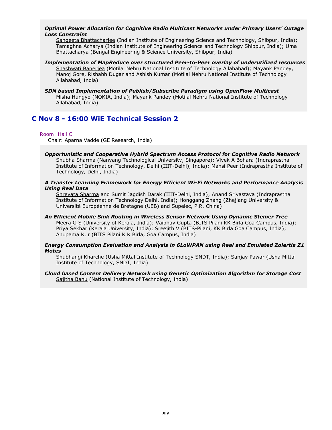#### *Optimal Power Allocation for Cognitive Radio Multicast Networks under Primary Users' Outage Loss Constraint*

Sangeeta Bhattacharjee (Indian Institute of Engineering Science and Technology, Shibpur, India); Tamaghna Acharya (Indian Institute of Engineering Science and Technology Shibpur, India); Uma Bhattacharya (Bengal Engineering & Science University, Shibpur, India)

*Implementation of MapReduce over structured Peer-to-Peer overlay of underutilized resources* Shashwati Banerjea (Motilal Nehru National Institute of Technology Allahabad); Mayank Pandey, Manoj Gore, Rishabh Dugar and Ashish Kumar (Motilal Nehru National Institute of Technology Allahabad, India)

#### *SDN based Implementation of Publish/Subscribe Paradigm using OpenFlow Multicast* Misha Hungyo (NOKIA, India); Mayank Pandey (Motilal Nehru National Institute of Technology Allahabad, India)

### **C Nov 8 - 16:00 WiE Technical Session 2**

#### Room: Hall C

Chair: Aparna Vadde (GE Research, India)

#### *Opportunistic and Cooperative Hybrid Spectrum Access Protocol for Cognitive Radio Network* Shubha Sharma (Nanyang Technological University, Singapore); Vivek A Bohara (Indraprastha Institute of Information Technology, Delhi (IIIT-Delhi), India); Mansi Peer (Indraprastha Institute of Technology, Delhi, India)

#### *A Transfer Learning Framework for Energy Efficient Wi-Fi Networks and Performance Analysis Using Real Data*

Shreyata Sharma and Sumit Jagdish Darak (IIIT-Delhi, India); Anand Srivastava (Indraprastha Institute of Information Technology Delhi, India); Honggang Zhang (Zhejiang University & Université Européenne de Bretagne (UEB) and Supelec, P.R. China)

*An Efficient Mobile Sink Routing in Wireless Sensor Network Using Dynamic Steiner Tree* Meera G S (University of Kerala, India); Vaibhav Gupta (BITS Pilani KK Birla Goa Campus, India); Priya Sekhar (Kerala University, India); Sreejith V (BITS-Pilani, KK Birla Goa Campus, India); Anupama K. r (BITS Pilani K K Birla, Goa Campus, India)

#### *Energy Consumption Evaluation and Analysis in 6LoWPAN using Real and Emulated Zolertia Z1 Motes*

Shubhangi Kharche (Usha Mittal Institute of Technology SNDT, India); Sanjay Pawar (Usha Mittal Institute of Technology, SNDT, India)

#### *Cloud based Content Delivery Network using Genetic Optimization Algorithm for Storage Cost* Sajitha Banu (National Institute of Technology, India)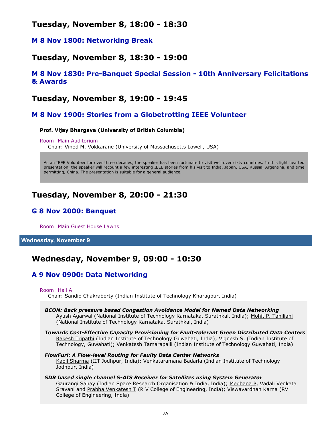# **Tuesday, November 8, 18:00 - 18:30**

### **M 8 Nov 1800: Networking Break**

# **Tuesday, November 8, 18:30 - 19:00**

### **M 8 Nov 1830: Pre-Banquet Special Session - 10th Anniversary Felicitations & Awards**

# **Tuesday, November 8, 19:00 - 19:45**

### **M 8 Nov 1900: Stories from a Globetrotting IEEE Volunteer**

#### **Prof. Vijay Bhargava (University of British Columbia)**

#### Room: Main Auditorium

Chair: Vinod M. Vokkarane (University of Massachusetts Lowell, USA)

As an IEEE Volunteer for over three decades, the speaker has been fortunate to visit well over sixty countries. In this light hearted presentation, the speaker will recount a few interesting IEEE stories from his visit to India, Japan, USA, Russia, Argentina, and time permitting, China. The presentation is suitable for a general audience.

# **Tuesday, November 8, 20:00 - 21:30**

# **G 8 Nov 2000: Banquet**

Room: Main Guest House Lawns

**Wednesday, November 9**

# **Wednesday, November 9, 09:00 - 10:30**

# **A 9 Nov 0900: Data Networking**

#### Room: Hall A

Chair: Sandip Chakraborty (Indian Institute of Technology Kharagpur, India)

#### *BCON: Back pressure based Congestion Avoidance Model for Named Data Networking* Ayush Agarwal (National Institute of Technology Karnataka, Surathkal, India); Mohit P. Tahiliani (National Institute of Technology Karnataka, Surathkal, India)

*Towards Cost-Effective Capacity Provisioning for Fault-tolerant Green Distributed Data Centers* Rakesh Tripathi (Indian Institute of Technology Guwahati, India); Vignesh S. (Indian Institute of Technology, Guwahati); Venkatesh Tamarapalli (Indian Institute of Technology Guwahati, India)

#### *FlowFurl: A Flow-level Routing for Faulty Data Center Networks*

Kapil Sharma (IIT Jodhpur, India); Venkataramana Badarla (Indian Institute of Technology Jodhpur, India)

#### *SDR based single channel S-AIS Receiver for Satellites using System Generator* Gaurangi Sahay (Indian Space Research Organisation & India, India); Meghana P, Vadali Venkata Sravani and Prabha Venkatesh T (R V College of Engineering, India); Viswavardhan Karna (RV College of Engineering, India)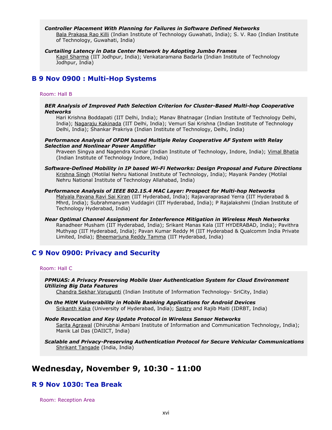#### *Controller Placement With Planning for Failures in Software Defined Networks*

Bala Prakasa Rao Killi (Indian Institute of Technology Guwahati, India); S. V. Rao (Indian Institute of Technology, Guwahati, India)

#### *Curtailing Latency in Data Center Network by Adopting Jumbo Frames*

Kapil Sharma (IIT Jodhpur, India); Venkataramana Badarla (Indian Institute of Technology Jodhpur, India)

### **B 9 Nov 0900 : Multi-Hop Systems**

#### Room: Hall B

#### *BER Analysis of Improved Path Selection Criterion for Cluster-Based Multi-hop Cooperative Networks*

Hari Krishna Boddapati (IIT Delhi, India); Manav Bhatnagar (Indian Institute of Technology Delhi, India); Nagaraju Kakinada (IIT Delhi, India); Vemuri Sai Krishna (Indian Institute of Technology Delhi, India); Shankar Prakriya (Indian Institute of Technology, Delhi, India)

#### *Performance Analysis of OFDM based Multiple Relay Cooperative AF System with Relay Selection and Nonlinear Power Amplifier*

Praveen Singya and Nagendra Kumar (Indian Institute of Technology, Indore, India); Vimal Bhatia (Indian Institute of Technology Indore, India)

*Software-Defined Mobility in IP based Wi-Fi Networks: Design Proposal and Future Directions* Krishna Singh (Motilal Nehru National Institute of Technology, India); Mayank Pandey (Motilal Nehru National Institute of Technology Allahabad, India)

#### *Performance Analysis of IEEE 802.15.4 MAC Layer: Prospect for Multi-hop Networks*

Malyala Pavana Ravi Sai Kiran (IIT Hyderabad, India); Rajavaraprasad Yerra (IIT Hyderabad & Mhrd, India); Subrahmanyam Vuddagiri (IIT Hyderabad, India); P Rajalakshmi (Indian Institute of Technology Hyderabad, India)

*Near Optimal Channel Assignment for Interference Mitigation in Wireless Mesh Networks* Ranadheer Musham (IIT Hyderabad, India); Srikant Manas Kala (IIT HYDERABAD, India); Pavithra Muthyap (IIT Hyderabad, India); Pavan Kumar Reddy M (IIT Hyderabad & Qualcomm India Private Limited, India); Bheemarjuna Reddy Tamma (IIT Hyderabad, India)

### **C 9 Nov 0900: Privacy and Security**

#### Room: Hall C

*PPMUAS: A Privacy Preserving Mobile User Authentication System for Cloud Environment Utilizing Big Data Features*

Chandra Sekhar Vorugunti (Indian Institute of Information Technology- SriCity, India)

- *On the MitM Vulnerability in Mobile Banking Applications for Android Devices* Srikanth Kaka (University of Hyderabad, India); Sastry and Rajib Maiti (IDRBT, India)
- *Node Revocation and Key Update Protocol in Wireless Sensor Networks* Sarita Agrawal (Dhirubhai Ambani Institute of Information and Communication Technology, India); Manik Lal Das (DAIICT, India)
- *Scalable and Privacy-Preserving Authentication Protocol for Secure Vehicular Communications* Shrikant Tangade (India, India)

# **Wednesday, November 9, 10:30 - 11:00**

### **R 9 Nov 1030: Tea Break**

Room: Reception Area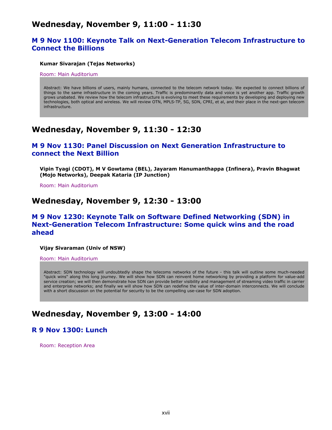# **Wednesday, November 9, 11:00 - 11:30**

### **M 9 Nov 1100: Keynote Talk on Next-Generation Telecom Infrastructure to Connect the Billions**

#### **Kumar Sivarajan (Tejas Networks)**

Room: Main Auditorium

Abstract: We have billions of users, mainly humans, connected to the telecom network today. We expected to connect billions of things to the same infrastructure in the coming years. Traffic is predominantly data and voice is yet another app. Traffic growth grows unabated. We review how the telecom infrastructure is evolving to meet these requirements by developing and deploying new technologies, both optical and wireless. We will review OTN, MPLS-TP, 5G, SDN, CPRI, et al, and their place in the next-gen telecom infrastructure.

# **Wednesday, November 9, 11:30 - 12:30**

### **M 9 Nov 1130: Panel Discussion on Next Generation Infrastructure to connect the Next Billion**

**Vipin Tyagi (CDOT), M V Gowtama (BEL), Jayaram Hanumanthappa (Infinera), Pravin Bhagwat (Mojo Networks), Deepak Kataria (IP Junction)**

Room: Main Auditorium

# **Wednesday, November 9, 12:30 - 13:00**

### **M 9 Nov 1230: Keynote Talk on Software Defined Networking (SDN) in Next-Generation Telecom Infrastructure: Some quick wins and the road ahead**

**Vijay Sivaraman (Univ of NSW)**

Room: Main Auditorium

Abstract: SDN technology will undoubtedly shape the telecoms networks of the future - this talk will outline some much-needed "quick wins" along this long journey. We will show how SDN can reinvent home networking by providing a platform for value-add service creation; we will then demonstrate how SDN can provide better visibility and management of streaming video traffic in carrier and enterprise networks; and finally we will show how SDN can redefine the value of inter-domain interconnects. We will conclude with a short discussion on the potential for security to be the compelling use-case for SDN adoption.

# **Wednesday, November 9, 13:00 - 14:00**

### **R 9 Nov 1300: Lunch**

Room: Reception Area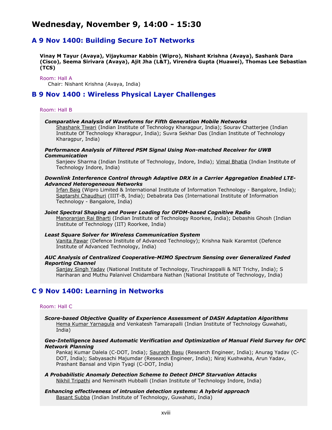# **Wednesday, November 9, 14:00 - 15:30**

### **A 9 Nov 1400: Building Secure IoT Networks**

**Vinay M Tayur (Avaya), Vijaykumar Kabbin (Wipro), Nishant Krishna (Avaya), Sashank Dara (Cisco), Seema Sirivara (Avaya), Ajit Jha (L&T), Virendra Gupta (Huawei), Thomas Lee Sebastian (TCS)**

Room: Hall A

Chair: Nishant Krishna (Avaya, India)

### **B 9 Nov 1400 : Wireless Physical Layer Challenges**

#### Room: Hall B

#### *Comparative Analysis of Waveforms for Fifth Generation Mobile Networks*

Shashank Tiwari (Indian Institute of Technology Kharagpur, India); Sourav Chatterjee (Indian Institute Of Technology Kharagpur, India); Suvra Sekhar Das (Indian Institute of Technology Kharagpur, India)

#### *Performance Analysis of Filtered PSM Signal Using Non-matched Receiver for UWB Communication*

Sanjeev Sharma (Indian Institute of Technology, Indore, India); Vimal Bhatia (Indian Institute of Technology Indore, India)

#### *Downlink Interference Control through Adaptive DRX in a Carrier Aggregation Enabled LTE-Advanced Heterogeneous Networks*

Irfan Baig (Wipro Limited & International Institute of Information Technology - Bangalore, India); Saptarshi Chaudhuri (IIIT-B, India); Debabrata Das (International Institute of Information Technology - Bangalore, India)

#### *Joint Spectral Shaping and Power Loading for OFDM-based Cognitive Radio*

Manoranjan Rai Bharti (Indian Institute of Technology Roorkee, India); Debashis Ghosh (Indian Institute of Technology (IIT) Roorkee, India)

#### *Least Square Solver for Wireless Communication System*

Vanita Pawar (Defence Institute of Advanced Technology); Krishna Naik Karamtot (Defence Institute of Advanced Technology, India)

#### *AUC Analysis of Centralized Cooperative-MIMO Spectrum Sensing over Generalized Faded Reporting Channel*

Sanjay Singh Yadav (National Institute of Technology, Tiruchirappalli & NIT Trichy, India); S Hariharan and Muthu Palanivel Chidambara Nathan (National Institute of Technology, India)

### **C 9 Nov 1400: Learning in Networks**

#### Room: Hall C

*Score-based Objective Quality of Experience Assessment of DASH Adaptation Algorithms* Hema Kumar Yarnagula and Venkatesh Tamarapalli (Indian Institute of Technology Guwahati, India)

#### *Geo-Intelligence based Automatic Verification and Optimization of Manual Field Survey for OFC Network Planning*

Pankaj Kumar Dalela (C-DOT, India); Saurabh Basu (Research Engineer, India); Anurag Yadav (C-DOT, India); Sabyasachi Majumdar (Research Engineer, India); Niraj Kushwaha, Arun Yadav, Prashant Bansal and Vipin Tyagi (C-DOT, India)

#### *A Probabilistic Anomaly Detection Scheme to Detect DHCP Starvation Attacks* Nikhil Tripathi and Neminath Hubballi (Indian Institute of Technology Indore, India)

#### *Enhancing effectiveness of intrusion detection systems: A hybrid approach* Basant Subba (Indian Institute of Technology, Guwahati, India)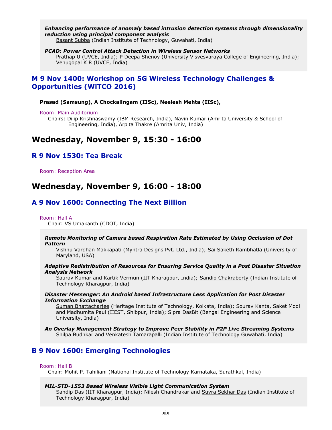#### *Enhancing performance of anomaly based intrusion detection systems through dimensionality reduction using principal component analysis*

Basant Subba (Indian Institute of Technology, Guwahati, India)

#### *PCAD: Power Control Attack Detection in Wireless Sensor Networks*

Prathap U (UVCE, India); P Deepa Shenoy (University Visvesvaraya College of Engineering, India); Venugopal K R (UVCE, India)

### **M 9 Nov 1400: Workshop on 5G Wireless Technology Challenges & Opportunities (WiTCO 2016)**

#### **Prasad (Samsung), A Chockalingam (IISc), Neelesh Mehta (IISc),**

#### Room: Main Auditorium

Chairs: Dilip Krishnaswamy (IBM Research, India), Navin Kumar (Amrita University & School of Engineering, India), Arpita Thakre (Amrita Univ, India)

# **Wednesday, November 9, 15:30 - 16:00**

### **R 9 Nov 1530: Tea Break**

Room: Reception Area

# **Wednesday, November 9, 16:00 - 18:00**

### **A 9 Nov 1600: Connecting The Next Billion**

#### Room: Hall A

Chair: VS Umakanth (CDOT, India)

#### *Remote Monitoring of Camera based Respiration Rate Estimated by Using Occlusion of Dot Pattern*

Vishnu Vardhan Makkapati (Myntra Designs Pvt. Ltd., India); Sai Saketh Rambhatla (University of Maryland, USA)

#### *Adaptive Redistribution of Resources for Ensuring Service Quality in a Post Disaster Situation Analysis Network*

Saurav Kumar and Kartik Vermun (IIT Kharagpur, India); Sandip Chakraborty (Indian Institute of Technology Kharagpur, India)

*Disaster Messenger: An Android based Infrastructure Less Application for Post Disaster Information Exchange*

Suman Bhattacharjee (Heritage Institute of Technology, Kolkata, India); Sourav Kanta, Saket Modi and Madhumita Paul (IIEST, Shibpur, India); Sipra DasBit (Bengal Engineering and Science University, India)

*An Overlay Management Strategy to Improve Peer Stability in P2P Live Streaming Systems* Shilpa Budhkar and Venkatesh Tamarapalli (Indian Institute of Technology Guwahati, India)

### **B 9 Nov 1600: Emerging Technologies**

#### Room: Hall B

Chair: Mohit P. Tahiliani (National Institute of Technology Karnataka, Surathkal, India)

#### *MIL-STD-1553 Based Wireless Visible Light Communication System*

Sandip Das (IIT Kharagpur, India); Nilesh Chandrakar and Suvra Sekhar Das (Indian Institute of Technology Kharagpur, India)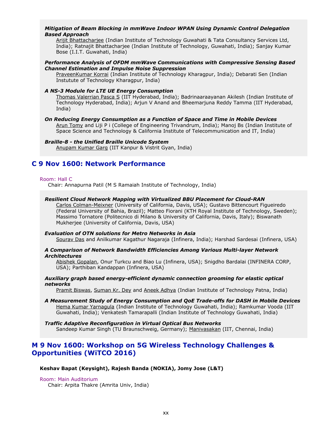#### *Mitigation of Beam Blocking in mmWave Indoor WPAN Using Dynamic Control Delegation Based Approach*

Arijit Bhattacharjee (Indian Institute of Technology Guwahati & Tata Consultancy Services Ltd, India); Ratnajit Bhattacharjee (Indian Institute of Technology, Guwahati, India); Sanjay Kumar Bose (I.I.T. Guwahati, India)

#### *Performance Analysis of OFDM mmWave Communications with Compressive Sensing Based Channel Estimation and Impulse Noise Suppression*

PraveenKumar Korrai (Indian Institute of Technology Kharagpur, India); Debarati Sen (Indian Instutute of Technology Kharagpur, India)

#### *A NS-3 Module for LTE UE Energy Consumption*

Thomas Valerrian Pasca S (IIT Hyderabad, India); Badrinaaraayanan Akilesh (Indian Institute of Technology Hyderabad, India); Arjun V Anand and Bheemarjuna Reddy Tamma (IIT Hyderabad, India)

#### *On Reducing Energy Consumption as a Function of Space and Time in Mobile Devices*

Arun Tomy and Liji P i (College of Engineering Trivandrum, India); Manoj Bs (Indian Institute of Space Science and Technology & California Institute of Telecommunication and IT, India)

#### *Braille-8 - the Unified Braille Unicode System*

Anupam Kumar Garg (IIT Kanpur & Vistrit Gyan, India)

### **C 9 Nov 1600: Network Performance**

#### Room: Hall C

Chair: Annapurna Patil (M S Ramaiah Institute of Technology, India)

#### *Resilient Cloud Network Mapping with Virtualized BBU Placement for Cloud-RAN*

Carlos Colman-Meixner (University of California, Davis, USA); Gustavo Bittencourt Figueiredo (Federal University of Bahia, Brazil); Matteo Fiorani (KTH Royal Institute of Technology, Sweden); Massimo Tornatore (Politecnico di Milano & University of California, Davis, Italy); Biswanath Mukherjee (University of California, Davis, USA)

#### *Evaluation of OTN solutions for Metro Networks in Asia*

Sourav Das and Anilkumar Kagathur Nagaraja (Infinera, India); Harshad Sardesai (Infinera, USA)

#### *A Comparison of Network Bandwidth Efficiencies Among Various Multi-layer Network Architectures*

Abishek Gopalan, Onur Turkcu and Biao Lu (Infinera, USA); Snigdho Bardalai (INFINERA CORP, USA); Parthiban Kandappan (Infinera, USA)

#### *Auxiliary graph based energy-efficient dynamic connection grooming for elastic optical networks*

Pramit Biswas, Suman Kr. Dey and Aneek Adhya (Indian Institute of Technology Patna, India)

*A Measurement Study of Energy Consumption and QoE Trade-offs for DASH in Mobile Devices* Hema Kumar Yarnagula (Indian Institute of Technology Guwahati, India); Ramkumar Vooda (IIT Guwahati, India); Venkatesh Tamarapalli (Indian Institute of Technology Guwahati, India)

#### *Traffic Adaptive Reconfiguration in Virtual Optical Bus Networks* Sandeep Kumar Singh (TU Braunschweig, Germany); Manivasakan (IIT, Chennai, India)

### **M 9 Nov 1600: Workshop on 5G Wireless Technology Challenges & Opportunities (WiTCO 2016)**

#### **Keshav Bapat (Keysight), Rajesh Banda (NOKIA), Jomy Jose (L&T)**

Room: Main Auditorium

Chair: Arpita Thakre (Amrita Univ, India)